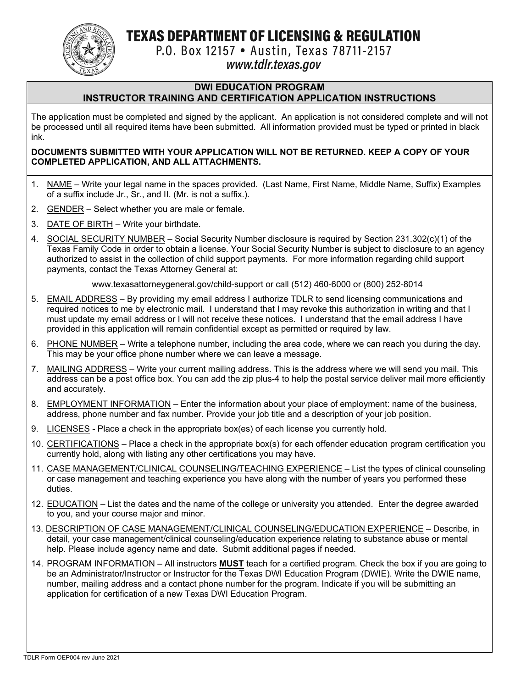TEXAS DEPARTMENT OF LICENSING & REGULATION



P.O. Box 12157 . Austin, Texas 78711-2157

# www.tdlr.texas.gov

#### **DWI EDUCATION PROGRAM INSTRUCTOR TRAINING AND CERTIFICATION APPLICATION INSTRUCTIONS**

The application must be completed and signed by the applicant. An application is not considered complete and will not be processed until all required items have been submitted. All information provided must be typed or printed in black ink.

#### **DOCUMENTS SUBMITTED WITH YOUR APPLICATION WILL NOT BE RETURNED. KEEP A COPY OF YOUR COMPLETED APPLICATION, AND ALL ATTACHMENTS.**

- 1. NAME Write your legal name in the spaces provided. (Last Name, First Name, Middle Name, Suffix) Examples of a suffix include Jr., Sr., and II. (Mr. is not a suffix.).
- 2. GENDER Select whether you are male or female.
- 3. DATE OF BIRTH Write your birthdate.
- 4. SOCIAL SECURITY NUMBER Social Security Number disclosure is required by Section 231.302(c)(1) of the Texas Family Code in order to obtain a license. Your Social Security Number is subject to disclosure to an agency authorized to assist in the collection of child support payments. For more information regarding child support payments, contact the Texas Attorney General at:

www.texasattorneygeneral.gov/child-support or call (512) 460-6000 or (800) 252-8014

- 5. EMAIL ADDRESS By providing my email address I authorize TDLR to send licensing communications and required notices to me by electronic mail. I understand that I may revoke this authorization in writing and that I must update my email address or I will not receive these notices. I understand that the email address I have provided in this application will remain confidential except as permitted or required by law.
- 6. PHONE NUMBER Write a telephone number, including the area code, where we can reach you during the day. This may be your office phone number where we can leave a message.
- 7. MAILING ADDRESS Write your current mailing address. This is the address where we will send you mail. This address can be a post office box. You can add the zip plus-4 to help the postal service deliver mail more efficiently and accurately.
- 8. EMPLOYMENT INFORMATION Enter the information about your place of employment: name of the business, address, phone number and fax number. Provide your job title and a description of your job position.
- 9. LICENSES Place a check in the appropriate box(es) of each license you currently hold.
- 10. CERTIFICATIONS Place a check in the appropriate box(s) for each offender education program certification you currently hold, along with listing any other certifications you may have.
- 11. CASE MANAGEMENT/CLINICAL COUNSELING/TEACHING EXPERIENCE List the types of clinical counseling or case management and teaching experience you have along with the number of years you performed these duties.
- 12. EDUCATION List the dates and the name of the college or university you attended. Enter the degree awarded to you, and your course major and minor.
- 13. DESCRIPTION OF CASE MANAGEMENT/CLINICAL COUNSELING/EDUCATION EXPERIENCE Describe, in detail, your case management/clinical counseling/education experience relating to substance abuse or mental help. Please include agency name and date. Submit additional pages if needed.
- 14. PROGRAM INFORMATION All instructors **MUST** teach for a certified program. Check the box if you are going to be an Administrator/Instructor or Instructor for the Texas DWI Education Program (DWIE). Write the DWIE name, number, mailing address and a contact phone number for the program. Indicate if you will be submitting an application for certification of a new Texas DWI Education Program.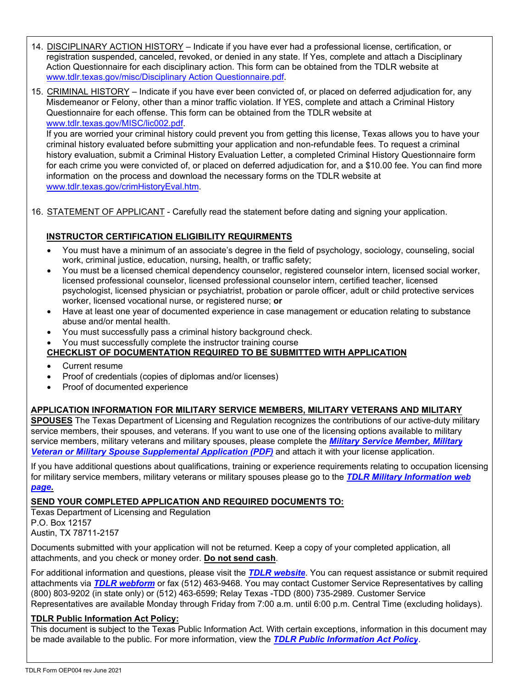- 14. DISCIPLINARY ACTION HISTORY Indicate if you have ever had a professional license, certification, or registration suspended, canceled, revoked, or denied in any state. If Yes, complete and attach a Disciplinary Action Questionnaire for each disciplinary action. This form can be obtained from the TDLR website at www.tdlr.texas.gov/misc/Disciplinary Action Questionnaire.pdf.
- 15. CRIMINAL HISTORY Indicate if you have ever been convicted of, or placed on deferred adjudication for, any Misdemeanor or Felony, other than a minor traffic violation. If YES, complete and attach a Criminal History Questionnaire for each offense. This form can be obtained from the TDLR website at www.tdlr.texas.gov/MISC/lic002.pdf.

If you are worried your criminal history could prevent you from getting this license, Texas allows you to have your criminal history evaluated before submitting your application and non-refundable fees. To request a criminal history evaluation, submit a Criminal History Evaluation Letter, a completed Criminal History Questionnaire form for each crime you were convicted of, or placed on deferred adjudication for, and a \$10.00 fee. You can find more information on the process and download the necessary forms on the TDLR website at www.tdlr.texas.gov/crimHistoryEval.htm.

16. STATEMENT OF APPLICANT - Carefully read the statement before dating and signing your application.

## **INSTRUCTOR CERTIFICATION ELIGIBILITY REQUIRMENTS**

- You must have a minimum of an associate's degree in the field of psychology, sociology, counseling, social work, criminal justice, education, nursing, health, or traffic safety;
- You must be a licensed chemical dependency counselor, registered counselor intern, licensed social worker, licensed professional counselor, licensed professional counselor intern, certified teacher, licensed psychologist, licensed physician or psychiatrist, probation or parole officer, adult or child protective services worker, licensed vocational nurse, or registered nurse; **or**
- Have at least one year of documented experience in case management or education relating to substance abuse and/or mental health.
- You must successfully pass a criminal history background check.
	- You must successfully complete the instructor training course

## **CHECKLIST OF DOCUMENTATION REQUIRED TO BE SUBMITTED WITH APPLICATION**

- Current resume
- Proof of credentials (copies of diplomas and/or licenses)
- Proof of documented experience

#### **APPLICATION INFORMATION FOR MILITARY SERVICE MEMBERS, MILITARY VETERANS AND MILITARY**

**SPOUSES** The Texas Department of Licensing and Regulation recognizes the contributions of our active-duty military service members, their spouses, and veterans. If you want to use one of the licensing options available to military [service members, military veterans and military spouses, please complete the](https://www.tdlr.texas.gov/misc/militarysupplemental.pdf) *Military Service Member, Military Veteran or Military Spouse Supplemental Application (PDF)* and attach it with your license application.

If you have additional questions about qualifications, training or experience requirements relating to occupation licensing [for military service members, military veterans or military spouses please go to the](https://www.tdlr.texas.gov/military/) *TDLR Military Information web page***.** 

#### **SEND YOUR COMPLETED APPLICATION AND REQUIRED DOCUMENTS TO:**

Texas Department of Licensing and Regulation

P.O. Box 12157 Austin, TX 78711-2157

Documents submitted with your application will not be returned. Keep a copy of your completed application, all attachments, and you check or money order. **Do not send cash**.

For additional information and questions, please visit the *[TDLR website](https://www.tdlr.texas.gov/)*. You can request assistance or submit required attachments via *[TDLR webform](https://www.tdlr.texas.gov/help/)* or fax (512) 463-9468. You may contact Customer Service Representatives by calling (800) 803-9202 (in state only) or (512) 463-6599; Relay Texas -TDD (800) 735-2989. Customer Service Representatives are available Monday through Friday from 7:00 a.m. until 6:00 p.m. Central Time (excluding holidays).

#### **TDLR Public Information Act Policy:**

This document is subject to the Texas Public Information Act. With certain exceptions, information in this document may be made available to the public. For more information, view the *[TDLR Public Information Act Policy](https://www.tdlr.texas.gov/disclaimer.htm#PublicInfoPolicy)*.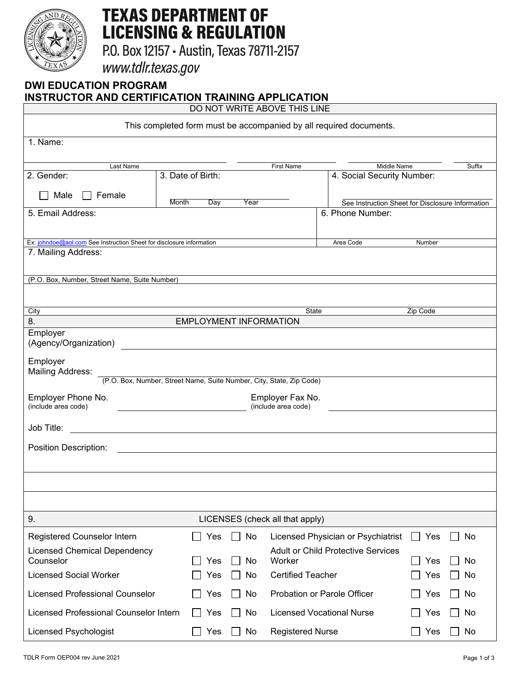

# **TEXAS DEPARTMENT OF LICENSING & REGULATION**

P.O. Box 12157 - Austin, Texas 78711-2157

www.tdlr.texas.gov

# **DWI EDUCATION PROGRAM INSTRUCTOR AND CERTIFICATION TRAINING APPLICATION**

DO NOT WRITE ABOVE THIS LINE

| This completed form must be accompanied by all required documents.   |                                                                                                          |                                           |                                                  |               |          |  |
|----------------------------------------------------------------------|----------------------------------------------------------------------------------------------------------|-------------------------------------------|--------------------------------------------------|---------------|----------|--|
| 1. Name:                                                             |                                                                                                          |                                           |                                                  |               |          |  |
|                                                                      |                                                                                                          |                                           |                                                  |               |          |  |
| Last Name<br>2. Gender:                                              | 3. Date of Birth:                                                                                        | <b>First Name</b>                         | Middle Name<br>4. Social Security Number:        |               | Suffix   |  |
| Male<br>Female                                                       |                                                                                                          |                                           |                                                  |               |          |  |
|                                                                      | <b>Month</b><br>Day<br>Year                                                                              |                                           | See Instruction Sheet for Disclosure Information |               |          |  |
| 5. Email Address:                                                    |                                                                                                          |                                           | 6. Phone Number:                                 |               |          |  |
| Ex: johndoe@aol.com See Instruction Sheet for disclosure information |                                                                                                          |                                           | Area Code                                        | Number        |          |  |
| 7. Mailing Address:                                                  |                                                                                                          |                                           |                                                  |               |          |  |
|                                                                      |                                                                                                          |                                           |                                                  |               |          |  |
| (P.O. Box, Number, Street Name, Suite Number)                        |                                                                                                          |                                           |                                                  |               |          |  |
|                                                                      |                                                                                                          |                                           |                                                  |               |          |  |
| City<br>8.                                                           | <b>EMPLOYMENT INFORMATION</b>                                                                            | State                                     |                                                  | Zip Code      |          |  |
| Employer<br>(Agency/Organization)                                    | <u> 1980 - Andrea Stadt Britain, fransk politik (d. 1980)</u>                                            |                                           |                                                  |               |          |  |
| Employer<br><b>Mailing Address:</b>                                  |                                                                                                          |                                           |                                                  |               |          |  |
| (P.O. Box, Number, Street Name, Suite Number, City, State, Zip Code) |                                                                                                          |                                           |                                                  |               |          |  |
| Employer Phone No.<br>(include area code)                            | Employer Fax No.<br>(include area code)<br><u> 1989 - Johann Barn, fransk politik fotograf (d. 1989)</u> |                                           |                                                  |               |          |  |
| Job Title:                                                           |                                                                                                          |                                           |                                                  |               |          |  |
| Position Description:                                                |                                                                                                          |                                           |                                                  |               |          |  |
|                                                                      |                                                                                                          |                                           |                                                  |               |          |  |
|                                                                      |                                                                                                          |                                           |                                                  |               |          |  |
|                                                                      |                                                                                                          |                                           |                                                  |               |          |  |
| LICENSES (check all that apply)<br>9.                                |                                                                                                          |                                           |                                                  |               |          |  |
| Registered Counselor Intern                                          | No<br>Yes                                                                                                | Licensed Physician or Psychiatrist        |                                                  | Yes<br>$\sim$ | No       |  |
| <b>Licensed Chemical Dependency</b>                                  |                                                                                                          | <b>Adult or Child Protective Services</b> |                                                  |               |          |  |
| Counselor<br><b>Licensed Social Worker</b>                           | Yes<br>No<br>Yes<br>No                                                                                   | Worker<br><b>Certified Teacher</b>        |                                                  | Yes<br>Yes    | No<br>No |  |
|                                                                      |                                                                                                          |                                           |                                                  |               |          |  |
| <b>Licensed Professional Counselor</b>                               | No<br>Yes                                                                                                | Probation or Parole Officer               |                                                  | Yes           | No       |  |
| Licensed Professional Counselor Intern                               | No<br>Yes                                                                                                | <b>Licensed Vocational Nurse</b>          |                                                  | Yes           | No       |  |
| <b>Licensed Psychologist</b>                                         | No<br>Yes                                                                                                | <b>Registered Nurse</b>                   |                                                  | Yes           | No       |  |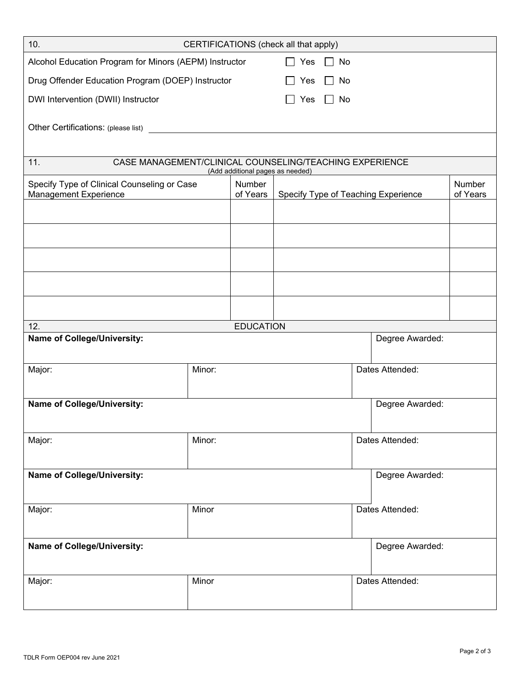| 10.<br>CERTIFICATIONS (check all that apply)                                                       |        |                    |            |           |                 |                                     |                    |  |
|----------------------------------------------------------------------------------------------------|--------|--------------------|------------|-----------|-----------------|-------------------------------------|--------------------|--|
| Alcohol Education Program for Minors (AEPM) Instructor                                             |        |                    | $\Box$ Yes | $\Box$ No |                 |                                     |                    |  |
| Drug Offender Education Program (DOEP) Instructor                                                  |        | <b>Yes</b>         | No         |           |                 |                                     |                    |  |
| DWI Intervention (DWII) Instructor                                                                 |        | Yes                | No         |           |                 |                                     |                    |  |
|                                                                                                    |        |                    |            |           |                 |                                     |                    |  |
|                                                                                                    |        |                    |            |           |                 |                                     |                    |  |
|                                                                                                    |        |                    |            |           |                 |                                     |                    |  |
| CASE MANAGEMENT/CLINICAL COUNSELING/TEACHING EXPERIENCE<br>11.<br>(Add additional pages as needed) |        |                    |            |           |                 |                                     |                    |  |
| Specify Type of Clinical Counseling or Case                                                        |        | Number<br>of Years |            |           |                 | Specify Type of Teaching Experience | Number<br>of Years |  |
| Management Experience                                                                              |        |                    |            |           |                 |                                     |                    |  |
|                                                                                                    |        |                    |            |           |                 |                                     |                    |  |
|                                                                                                    |        |                    |            |           |                 |                                     |                    |  |
|                                                                                                    |        |                    |            |           |                 |                                     |                    |  |
|                                                                                                    |        |                    |            |           |                 |                                     |                    |  |
|                                                                                                    |        |                    |            |           |                 |                                     |                    |  |
|                                                                                                    |        |                    |            |           |                 |                                     |                    |  |
| 12.                                                                                                |        | <b>EDUCATION</b>   |            |           |                 |                                     |                    |  |
| <b>Name of College/University:</b><br>Degree Awarded:                                              |        |                    |            |           |                 |                                     |                    |  |
| Major:                                                                                             | Minor: |                    |            |           | Dates Attended: |                                     |                    |  |
|                                                                                                    |        |                    |            |           |                 |                                     |                    |  |
| <b>Name of College/University:</b>                                                                 |        |                    |            |           |                 | Degree Awarded:                     |                    |  |
|                                                                                                    |        |                    |            |           |                 |                                     |                    |  |
| Major:                                                                                             | Minor: |                    |            |           | Dates Attended: |                                     |                    |  |
|                                                                                                    |        |                    |            |           |                 |                                     |                    |  |
| Name of College/University:                                                                        |        |                    |            |           |                 | Degree Awarded:                     |                    |  |
|                                                                                                    |        |                    |            |           |                 |                                     |                    |  |
| Major:                                                                                             | Minor  |                    |            |           |                 | Dates Attended:                     |                    |  |
|                                                                                                    |        |                    |            |           |                 |                                     |                    |  |
| Name of College/University:                                                                        |        |                    |            |           | Degree Awarded: |                                     |                    |  |
|                                                                                                    |        |                    |            |           |                 |                                     |                    |  |
| Major:                                                                                             | Minor  |                    |            |           | Dates Attended: |                                     |                    |  |
|                                                                                                    |        |                    |            |           |                 |                                     |                    |  |